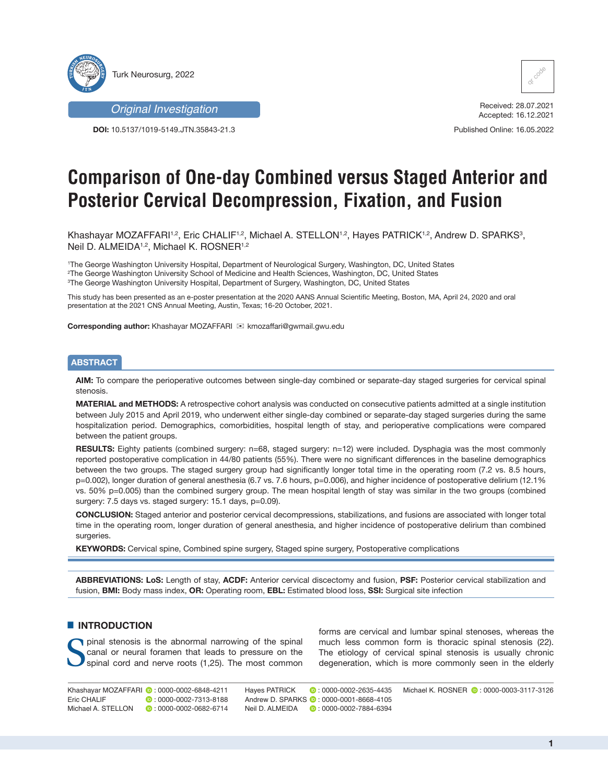

*Original Investigation*

**DOI:** 10.5137/1019-5149.JTN.35843-21.3



Received: 28.07.2021 Accepted: 16.12.2021

Published Online: 16.05.2022

# **Comparison of One-day Combined versus Staged Anterior and Posterior Cervical Decompression, Fixation, and Fusion**

Khashayar MOZAFFARI1,2, Eric CHALIF1,2, Michael A. STELLON1,2, Hayes PATRICK1,2, Andrew D. SPARKS3, Neil D. ALMEIDA<sup>1,2</sup>, Michael K. ROSNER<sup>1,2</sup>

1 The George Washington University Hospital, Department of Neurological Surgery, Washington, DC, United States 2 The George Washington University School of Medicine and Health Sciences, Washington, DC, United States 3 The George Washington University Hospital, Department of Surgery, Washington, DC, United States

This study has been presented as an e-poster presentation at the 2020 AANS Annual Scientific Meeting, Boston, MA, April 24, 2020 and oral presentation at the 2021 CNS Annual Meeting, Austin, Texas; 16-20 October, 2021.

**Corresponding author: Khashayar MOZAFFARI E kmozaffari@gwmail.gwu.edu** 

#### **ABSTRACT**

**AIM:** To compare the perioperative outcomes between single-day combined or separate-day staged surgeries for cervical spinal stenosis.

**MATERIAL and METHODS:** A retrospective cohort analysis was conducted on consecutive patients admitted at a single institution between July 2015 and April 2019, who underwent either single-day combined or separate-day staged surgeries during the same hospitalization period. Demographics, comorbidities, hospital length of stay, and perioperative complications were compared between the patient groups.

**RESULTS:** Eighty patients (combined surgery: n=68, staged surgery: n=12) were included. Dysphagia was the most commonly reported postoperative complication in 44/80 patients (55%). There were no significant differences in the baseline demographics between the two groups. The staged surgery group had significantly longer total time in the operating room (7.2 vs. 8.5 hours, p=0.002), longer duration of general anesthesia (6.7 vs. 7.6 hours, p=0.006), and higher incidence of postoperative delirium (12.1% vs. 50% p=0.005) than the combined surgery group. The mean hospital length of stay was similar in the two groups (combined surgery: 7.5 days vs. staged surgery: 15.1 days, p=0.09).

**CONCLUSION:** Staged anterior and posterior cervical decompressions, stabilizations, and fusions are associated with longer total time in the operating room, longer duration of general anesthesia, and higher incidence of postoperative delirium than combined surgeries.

**KEYWORDS:** Cervical spine, Combined spine surgery, Staged spine surgery, Postoperative complications

**ABBREVIATIONS: LoS:** Length of stay, **ACDF:** Anterior cervical discectomy and fusion, **PSF:** Posterior cervical stabilization and fusion, **BMI:** Body mass index, **OR:** Operating room, **EBL:** Estimated blood loss, **SSI:** Surgical site infection

# $\blacksquare$  **INTRODUCTION**

Spinal stenosis is the abnormal narrowing of the spinal canal or neural foramen that leads to pressure on the spinal cord and nerve roots (1,25). The most common canal or neural foramen that leads to pressure on the forms are cervical and lumbar spinal stenoses, whereas the much less common form is thoracic spinal stenosis (22). The etiology of cervical spinal stenosis is usually chronic degeneration, which is more commonly seen in the elderly

Khashayar MOZAFFARI ©:0000-0002-6848-4211 Hayes PATRICK ©:0000-0002-2635-4435 Michael K. ROSNER ©:0000-0003-3117-3126 Eric CHALIF **1989**: 0000-0002-7313-8188 Michael A. STELLON **D**: 0000-0002-0682-6714  $\bullet$ : 0000-0002-2635-4435 AndrewD. SPARKS **:** 0000-0001-8668-4105 Neil D. ALMEIDA: 0000-0002-7884-6394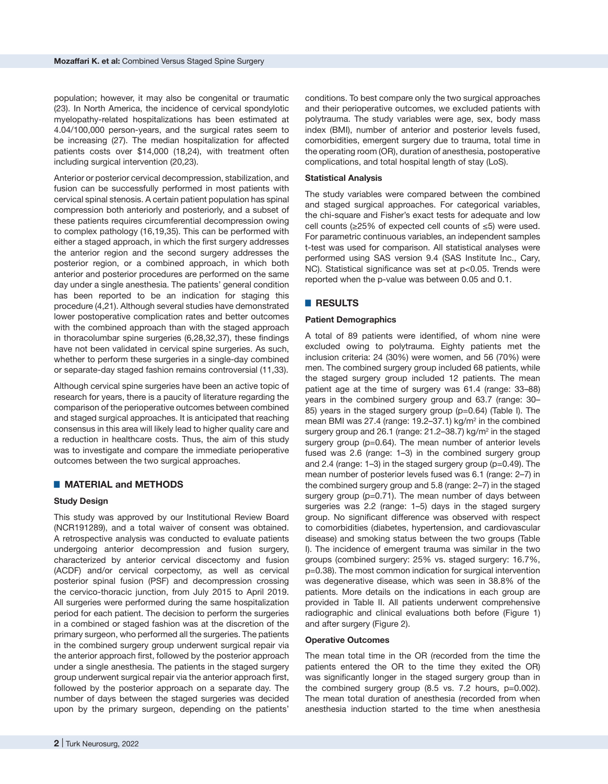population; however, it may also be congenital or traumatic (23). In North America, the incidence of cervical spondylotic myelopathy-related hospitalizations has been estimated at 4.04/100,000 person-years, and the surgical rates seem to be increasing (27). The median hospitalization for affected patients costs over \$14,000 (18,24), with treatment often including surgical intervention (20,23).

Anterior or posterior cervical decompression, stabilization, and fusion can be successfully performed in most patients with cervical spinal stenosis. A certain patient population has spinal compression both anteriorly and posteriorly, and a subset of these patients requires circumferential decompression owing to complex pathology (16,19,35). This can be performed with either a staged approach, in which the first surgery addresses the anterior region and the second surgery addresses the posterior region, or a combined approach, in which both anterior and posterior procedures are performed on the same day under a single anesthesia. The patients' general condition has been reported to be an indication for staging this procedure (4,21). Although several studies have demonstrated lower postoperative complication rates and better outcomes with the combined approach than with the staged approach in thoracolumbar spine surgeries (6,28,32,37), these findings have not been validated in cervical spine surgeries. As such, whether to perform these surgeries in a single-day combined or separate-day staged fashion remains controversial (11,33).

Although cervical spine surgeries have been an active topic of research for years, there is a paucity of literature regarding the comparison of the perioperative outcomes between combined and staged surgical approaches. It is anticipated that reaching consensus in this area will likely lead to higher quality care and a reduction in healthcare costs. Thus, the aim of this study was to investigate and compare the immediate perioperative outcomes between the two surgical approaches.

## █ **MATERIAL and METHODS**

## **Study Design**

This study was approved by our Institutional Review Board (NCR191289), and a total waiver of consent was obtained. A retrospective analysis was conducted to evaluate patients undergoing anterior decompression and fusion surgery, characterized by anterior cervical discectomy and fusion (ACDF) and/or cervical corpectomy, as well as cervical posterior spinal fusion (PSF) and decompression crossing the cervico-thoracic junction, from July 2015 to April 2019. All surgeries were performed during the same hospitalization period for each patient. The decision to perform the surgeries in a combined or staged fashion was at the discretion of the primary surgeon, who performed all the surgeries. The patients in the combined surgery group underwent surgical repair via the anterior approach first, followed by the posterior approach under a single anesthesia. The patients in the staged surgery group underwent surgical repair via the anterior approach first, followed by the posterior approach on a separate day. The number of days between the staged surgeries was decided upon by the primary surgeon, depending on the patients'

conditions. To best compare only the two surgical approaches and their perioperative outcomes, we excluded patients with polytrauma. The study variables were age, sex, body mass index (BMI), number of anterior and posterior levels fused, comorbidities, emergent surgery due to trauma, total time in the operating room (OR), duration of anesthesia, postoperative complications, and total hospital length of stay (LoS).

#### **Statistical Analysis**

The study variables were compared between the combined and staged surgical approaches. For categorical variables, the chi-square and Fisher's exact tests for adequate and low cell counts (≥25% of expected cell counts of ≤5) were used. For parametric continuous variables, an independent samples t-test was used for comparison. All statistical analyses were performed using SAS version 9.4 (SAS Institute Inc., Cary, NC). Statistical significance was set at p<0.05. Trends were reported when the p-value was between 0.05 and 0.1.

# █ **RESULTS**

#### **Patient Demographics**

A total of 89 patients were identified, of whom nine were excluded owing to polytrauma. Eighty patients met the inclusion criteria: 24 (30%) were women, and 56 (70%) were men. The combined surgery group included 68 patients, while the staged surgery group included 12 patients. The mean patient age at the time of surgery was 61.4 (range: 33–88) years in the combined surgery group and 63.7 (range: 30– 85) years in the staged surgery group (p=0.64) (Table I). The mean BMI was 27.4 (range: 19.2–37.1) kg/m<sup>2</sup> in the combined surgery group and 26.1 (range: 21.2–38.7) kg/m<sup>2</sup> in the staged surgery group (p=0.64). The mean number of anterior levels fused was 2.6 (range: 1–3) in the combined surgery group and 2.4 (range: 1–3) in the staged surgery group (p=0.49). The mean number of posterior levels fused was 6.1 (range: 2–7) in the combined surgery group and 5.8 (range: 2–7) in the staged surgery group (p=0.71). The mean number of days between surgeries was 2.2 (range: 1–5) days in the staged surgery group. No significant difference was observed with respect to comorbidities (diabetes, hypertension, and cardiovascular disease) and smoking status between the two groups (Table I). The incidence of emergent trauma was similar in the two groups (combined surgery: 25% vs. staged surgery: 16.7%, p=0.38). The most common indication for surgical intervention was degenerative disease, which was seen in 38.8% of the patients. More details on the indications in each group are provided in Table II. All patients underwent comprehensive radiographic and clinical evaluations both before (Figure 1) and after surgery (Figure 2).

#### **Operative Outcomes**

The mean total time in the OR (recorded from the time the patients entered the OR to the time they exited the OR) was significantly longer in the staged surgery group than in the combined surgery group (8.5 vs. 7.2 hours, p=0.002). The mean total duration of anesthesia (recorded from when anesthesia induction started to the time when anesthesia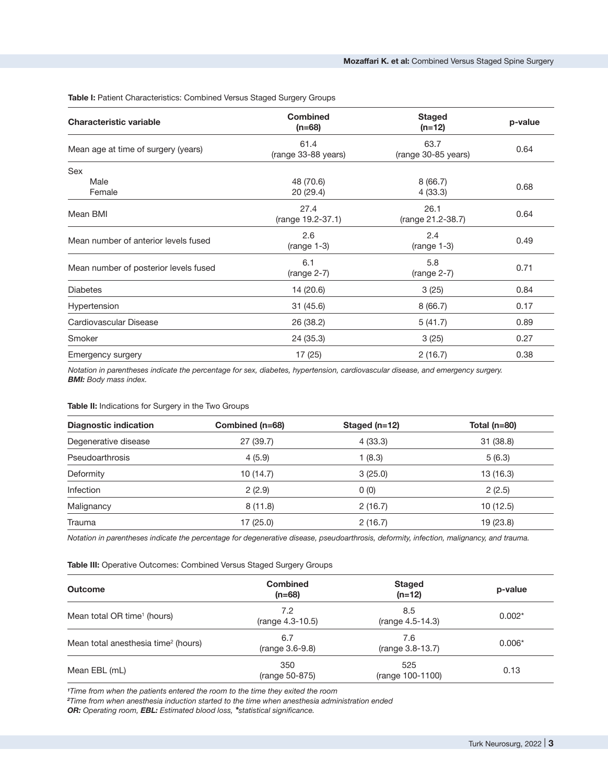**Table I:** Patient Characteristics: Combined Versus Staged Surgery Groups

| <b>Characteristic variable</b>        | <b>Combined</b><br>$(n=68)$                            | <b>Staged</b><br>$(n=12)$   | p-value<br>0.64 |
|---------------------------------------|--------------------------------------------------------|-----------------------------|-----------------|
| Mean age at time of surgery (years)   | 61.4<br>(range 33-88 years)                            | 63.7<br>(range 30-85 years) |                 |
| Sex                                   |                                                        |                             |                 |
| Male<br>Female                        | 48 (70.6)<br>20(29.4)                                  | 8(66.7)<br>4(33.3)          | 0.68            |
| Mean BMI                              | 27.4<br>26.1<br>(range 19.2-37.1)<br>(range 21.2-38.7) |                             | 0.64            |
| Mean number of anterior levels fused  | 2.6<br>2.4<br>$(range 1-3)$<br>$(range 1-3)$           |                             | 0.49            |
| Mean number of posterior levels fused | 6.1<br>$(range 2-7)$                                   | 5.8<br>$(range 2-7)$        | 0.71            |
| <b>Diabetes</b>                       | 14 (20.6)<br>3(25)                                     |                             | 0.84            |
| Hypertension                          | 31(45.6)                                               | 8(66.7)                     | 0.17            |
| Cardiovascular Disease                | 26 (38.2)                                              | 5(41.7)                     | 0.89            |
| Smoker                                | 24 (35.3)                                              | 3(25)                       | 0.27            |
| Emergency surgery                     | 17(25)<br>2(16.7)                                      |                             | 0.38            |

*Notation in parentheses indicate the percentage for sex, diabetes, hypertension, cardiovascular disease, and emergency surgery. BMI: Body mass index.*

# **Table II:** Indications for Surgery in the Two Groups

| 31(38.8)  |
|-----------|
|           |
| 5(6.3)    |
| 13 (16.3) |
| 2(2.5)    |
| 10(12.5)  |
| 19 (23.8) |
|           |

*Notation in parentheses indicate the percentage for degenerative disease, pseudoarthrosis, deformity, infection, malignancy, and trauma.*

**Table III:** Operative Outcomes: Combined Versus Staged Surgery Groups

| <b>Outcome</b>                                  | <b>Combined</b><br>$(n=68)$ | <b>Staged</b><br>$(n=12)$ | p-value  |
|-------------------------------------------------|-----------------------------|---------------------------|----------|
| Mean total OR time <sup>1</sup> (hours)         | 7.2<br>(range 4.3-10.5)     | 8.5<br>(range 4.5-14.3)   | $0.002*$ |
| Mean total anesthesia time <sup>2</sup> (hours) | 6.7<br>(range 3.6-9.8)      | 7.6<br>(range 3.8-13.7)   | $0.006*$ |
| Mean EBL (mL)                                   | 350<br>(range 50-875)       | 525<br>(range 100-1100)   | 0.13     |

*1 Time from when the patients entered the room to the time they exited the room*

*2 Time from when anesthesia induction started to the time when anesthesia administration ended*

*OR: Operating room, EBL: Estimated blood loss, \*statistical significance.*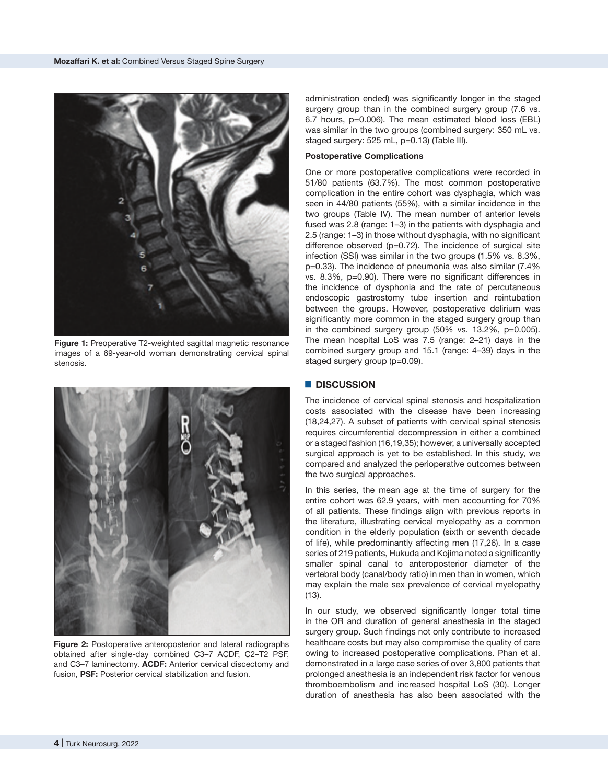

**Figure 1:** Preoperative T2-weighted sagittal magnetic resonance images of a 69-year-old woman demonstrating cervical spinal stenosis.



**Figure 2:** Postoperative anteroposterior and lateral radiographs obtained after single-day combined C3–7 ACDF, C2–T2 PSF, and C3–7 laminectomy. **ACDF:** Anterior cervical discectomy and fusion, **PSF:** Posterior cervical stabilization and fusion.

administration ended) was significantly longer in the staged surgery group than in the combined surgery group (7.6 vs. 6.7 hours, p=0.006). The mean estimated blood loss (EBL) was similar in the two groups (combined surgery: 350 mL vs. staged surgery: 525 mL, p=0.13) (Table III).

#### **Postoperative Complications**

One or more postoperative complications were recorded in 51/80 patients (63.7%). The most common postoperative complication in the entire cohort was dysphagia, which was seen in 44/80 patients (55%), with a similar incidence in the two groups (Table IV). The mean number of anterior levels fused was 2.8 (range: 1–3) in the patients with dysphagia and 2.5 (range: 1–3) in those without dysphagia, with no significant difference observed (p=0.72). The incidence of surgical site infection (SSI) was similar in the two groups (1.5% vs. 8.3%, p=0.33). The incidence of pneumonia was also similar (7.4% vs. 8.3%, p=0.90). There were no significant differences in the incidence of dysphonia and the rate of percutaneous endoscopic gastrostomy tube insertion and reintubation between the groups. However, postoperative delirium was significantly more common in the staged surgery group than in the combined surgery group (50% vs. 13.2%, p=0.005). The mean hospital LoS was 7.5 (range: 2–21) days in the combined surgery group and 15.1 (range: 4–39) days in the staged surgery group (p=0.09).

## █ **DISCUSSION**

The incidence of cervical spinal stenosis and hospitalization costs associated with the disease have been increasing (18,24,27). A subset of patients with cervical spinal stenosis requires circumferential decompression in either a combined or a staged fashion (16,19,35); however, a universally accepted surgical approach is yet to be established. In this study, we compared and analyzed the perioperative outcomes between the two surgical approaches.

In this series, the mean age at the time of surgery for the entire cohort was 62.9 years, with men accounting for 70% of all patients. These findings align with previous reports in the literature, illustrating cervical myelopathy as a common condition in the elderly population (sixth or seventh decade of life), while predominantly affecting men (17,26). In a case series of 219 patients, Hukuda and Kojima noted a significantly smaller spinal canal to anteroposterior diameter of the vertebral body (canal/body ratio) in men than in women, which may explain the male sex prevalence of cervical myelopathy (13).

In our study, we observed significantly longer total time in the OR and duration of general anesthesia in the staged surgery group. Such findings not only contribute to increased healthcare costs but may also compromise the quality of care owing to increased postoperative complications. Phan et al. demonstrated in a large case series of over 3,800 patients that prolonged anesthesia is an independent risk factor for venous thromboembolism and increased hospital LoS (30). Longer duration of anesthesia has also been associated with the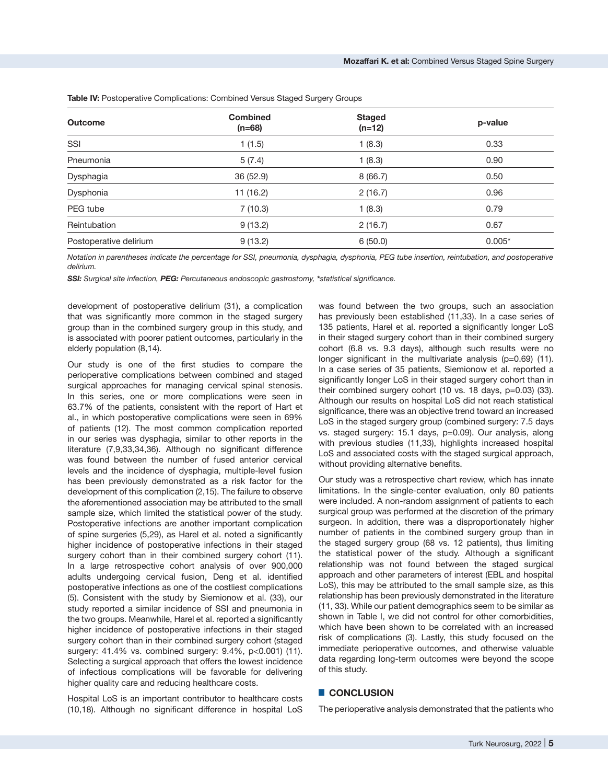| <b>Outcome</b>         | <b>Combined</b><br>$(n=68)$ | <b>Staged</b><br>$(n=12)$ | p-value  |
|------------------------|-----------------------------|---------------------------|----------|
| SSI                    | 1(1.5)                      | 1(8.3)                    | 0.33     |
| Pneumonia              | 5(7.4)                      | 1(8.3)                    | 0.90     |
| Dysphagia              | 36 (52.9)                   | 8(66.7)                   | 0.50     |
| Dysphonia              | 11(16.2)                    | 2(16.7)                   | 0.96     |
| PEG tube               | 7(10.3)                     | 1(8.3)                    | 0.79     |
| Reintubation           | 9(13.2)                     | 2(16.7)                   | 0.67     |
| Postoperative delirium | 9(13.2)                     | 6(50.0)                   | $0.005*$ |

**Table IV:** Postoperative Complications: Combined Versus Staged Surgery Groups

*Notation in parentheses indicate the percentage for SSI, pneumonia, dysphagia, dysphonia, PEG tube insertion, reintubation, and postoperative delirium.*

*SSI: Surgical site infection, PEG: Percutaneous endoscopic gastrostomy, \*statistical significance.*

development of postoperative delirium (31), a complication that was significantly more common in the staged surgery group than in the combined surgery group in this study, and is associated with poorer patient outcomes, particularly in the elderly population (8,14).

Our study is one of the first studies to compare the perioperative complications between combined and staged surgical approaches for managing cervical spinal stenosis. In this series, one or more complications were seen in 63.7% of the patients, consistent with the report of Hart et al., in which postoperative complications were seen in 69% of patients (12). The most common complication reported in our series was dysphagia, similar to other reports in the literature (7,9,33,34,36). Although no significant difference was found between the number of fused anterior cervical levels and the incidence of dysphagia, multiple-level fusion has been previously demonstrated as a risk factor for the development of this complication (2,15). The failure to observe the aforementioned association may be attributed to the small sample size, which limited the statistical power of the study. Postoperative infections are another important complication of spine surgeries (5,29), as Harel et al. noted a significantly higher incidence of postoperative infections in their staged surgery cohort than in their combined surgery cohort (11). In a large retrospective cohort analysis of over 900,000 adults undergoing cervical fusion, Deng et al. identified postoperative infections as one of the costliest complications (5). Consistent with the study by Siemionow et al. (33), our study reported a similar incidence of SSI and pneumonia in the two groups. Meanwhile, Harel et al. reported a significantly higher incidence of postoperative infections in their staged surgery cohort than in their combined surgery cohort (staged surgery: 41.4% vs. combined surgery: 9.4%, p<0.001) (11). Selecting a surgical approach that offers the lowest incidence of infectious complications will be favorable for delivering higher quality care and reducing healthcare costs.

Hospital LoS is an important contributor to healthcare costs (10,18). Although no significant difference in hospital LoS

was found between the two groups, such an association has previously been established (11,33). In a case series of 135 patients, Harel et al. reported a significantly longer LoS in their staged surgery cohort than in their combined surgery cohort (6.8 vs. 9.3 days), although such results were no longer significant in the multivariate analysis (p=0.69) (11). In a case series of 35 patients, Siemionow et al. reported a significantly longer LoS in their staged surgery cohort than in their combined surgery cohort (10 vs. 18 days, p=0.03) (33). Although our results on hospital LoS did not reach statistical significance, there was an objective trend toward an increased LoS in the staged surgery group (combined surgery: 7.5 days vs. staged surgery: 15.1 days, p=0.09). Our analysis, along with previous studies (11,33), highlights increased hospital LoS and associated costs with the staged surgical approach, without providing alternative benefits.

Our study was a retrospective chart review, which has innate limitations. In the single-center evaluation, only 80 patients were included. A non-random assignment of patients to each surgical group was performed at the discretion of the primary surgeon. In addition, there was a disproportionately higher number of patients in the combined surgery group than in the staged surgery group (68 vs. 12 patients), thus limiting the statistical power of the study. Although a significant relationship was not found between the staged surgical approach and other parameters of interest (EBL and hospital LoS), this may be attributed to the small sample size, as this relationship has been previously demonstrated in the literature (11, 33). While our patient demographics seem to be similar as shown in Table I, we did not control for other comorbidities, which have been shown to be correlated with an increased risk of complications (3). Lastly, this study focused on the immediate perioperative outcomes, and otherwise valuable data regarding long-term outcomes were beyond the scope of this study.

## █ **CONCLUSION**

The perioperative analysis demonstrated that the patients who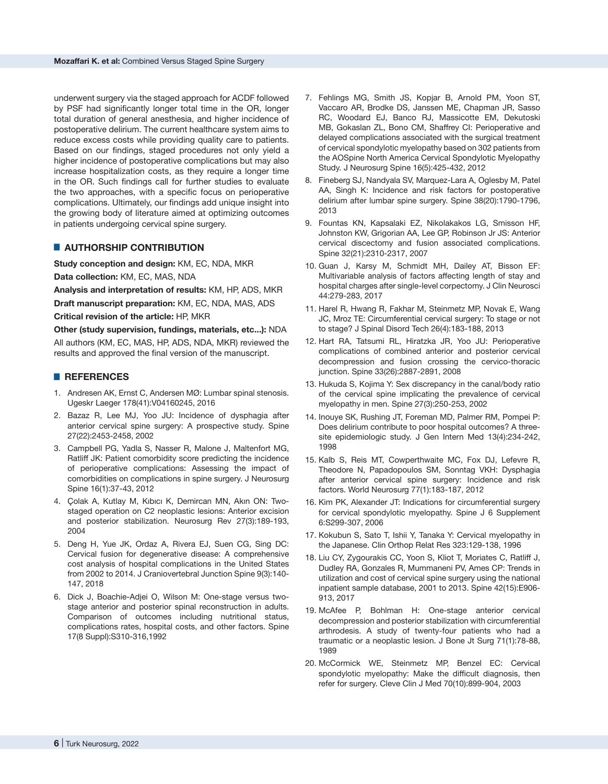underwent surgery via the staged approach for ACDF followed by PSF had significantly longer total time in the OR, longer total duration of general anesthesia, and higher incidence of postoperative delirium. The current healthcare system aims to reduce excess costs while providing quality care to patients. Based on our findings, staged procedures not only yield a higher incidence of postoperative complications but may also increase hospitalization costs, as they require a longer time in the OR. Such findings call for further studies to evaluate the two approaches, with a specific focus on perioperative complications. Ultimately, our findings add unique insight into the growing body of literature aimed at optimizing outcomes in patients undergoing cervical spine surgery.

# █ **AUTHORSHIP CONTRIBUTION**

**Study conception and design:** KM, EC, NDA, MKR

**Data collection:** KM, EC, MAS, NDA

**Analysis and interpretation of results:** KM, HP, ADS, MKR

**Draft manuscript preparation:** KM, EC, NDA, MAS, ADS

**Critical revision of the article:** HP, MKR

**Other (study supervision, fundings, materials, etc...):** NDA All authors (KM, EC, MAS, HP, ADS, NDA, MKR) reviewed the results and approved the final version of the manuscript.

## █ **REFERENCES**

- 1. Andresen AK, Ernst C, Andersen MØ: Lumbar spinal stenosis. Ugeskr Laeger 178(41):V04160245, 2016
- 2. Bazaz R, Lee MJ, Yoo JU: Incidence of dysphagia after anterior cervical spine surgery: A prospective study. Spine 27(22):2453-2458, 2002
- 3. Campbell PG, Yadla S, Nasser R, Malone J, Maltenfort MG, Ratliff JK: Patient comorbidity score predicting the incidence of perioperative complications: Assessing the impact of comorbidities on complications in spine surgery. J Neurosurg Spine 16(1):37-43, 2012
- 4. Çolak A, Kutlay M, Kıbıcı K, Demircan MN, Akın ON: Twostaged operation on C2 neoplastic lesions: Anterior excision and posterior stabilization. Neurosurg Rev 27(3):189-193, 2004
- 5. Deng H, Yue JK, Ordaz A, Rivera EJ, Suen CG, Sing DC: Cervical fusion for degenerative disease: A comprehensive cost analysis of hospital complications in the United States from 2002 to 2014. J Craniovertebral Junction Spine 9(3):140- 147, 2018
- 6. Dick J, Boachie-Adjei O, Wilson M: One-stage versus twostage anterior and posterior spinal reconstruction in adults. Comparison of outcomes including nutritional status, complications rates, hospital costs, and other factors. Spine 17(8 Suppl):S310-316,1992
- 7. Fehlings MG, Smith JS, Kopjar B, Arnold PM, Yoon ST, Vaccaro AR, Brodke DS, Janssen ME, Chapman JR, Sasso RC, Woodard EJ, Banco RJ, Massicotte EM, Dekutoski MB, Gokaslan ZL, Bono CM, Shaffrey CI: Perioperative and delayed complications associated with the surgical treatment of cervical spondylotic myelopathy based on 302 patients from the AOSpine North America Cervical Spondylotic Myelopathy Study. J Neurosurg Spine 16(5):425-432, 2012
- 8. Fineberg SJ, Nandyala SV, Marquez-Lara A, Oglesby M, Patel AA, Singh K: Incidence and risk factors for postoperative delirium after lumbar spine surgery. Spine 38(20):1790-1796, 2013
- 9. Fountas KN, Kapsalaki EZ, Nikolakakos LG, Smisson HF, Johnston KW, Grigorian AA, Lee GP, Robinson Jr JS: Anterior cervical discectomy and fusion associated complications. Spine 32(21):2310-2317, 2007
- 10. Guan J, Karsy M, Schmidt MH, Dailey AT, Bisson EF: Multivariable analysis of factors affecting length of stay and hospital charges after single-level corpectomy. J Clin Neurosci 44:279-283, 2017
- 11. Harel R, Hwang R, Fakhar M, Steinmetz MP, Novak E, Wang JC, Mroz TE: Circumferential cervical surgery: To stage or not to stage? J Spinal Disord Tech 26(4):183-188, 2013
- 12. Hart RA, Tatsumi RL, Hiratzka JR, Yoo JU: Perioperative complications of combined anterior and posterior cervical decompression and fusion crossing the cervico-thoracic junction. Spine 33(26):2887-2891, 2008
- 13. Hukuda S, Kojima Y: Sex discrepancy in the canal/body ratio of the cervical spine implicating the prevalence of cervical myelopathy in men. Spine 27(3):250-253, 2002
- 14. Inouye SK, Rushing JT, Foreman MD, Palmer RM, Pompei P: Does delirium contribute to poor hospital outcomes? A threesite epidemiologic study. J Gen Intern Med 13(4):234-242, 1998
- 15. Kalb S, Reis MT, Cowperthwaite MC, Fox DJ, Lefevre R, Theodore N, Papadopoulos SM, Sonntag VKH: Dysphagia after anterior cervical spine surgery: Incidence and risk factors. World Neurosurg 77(1):183-187, 2012
- 16. Kim PK, Alexander JT: Indications for circumferential surgery for cervical spondylotic myelopathy. Spine J 6 Supplement 6:S299-307, 2006
- 17. Kokubun S, Sato T, Ishii Y, Tanaka Y: Cervical myelopathy in the Japanese. Clin Orthop Relat Res 323:129-138, 1996
- 18. Liu CY, Zygourakis CC, Yoon S, Kliot T, Moriates C, Ratliff J, Dudley RA, Gonzales R, Mummaneni PV, Ames CP: Trends in utilization and cost of cervical spine surgery using the national inpatient sample database, 2001 to 2013. Spine 42(15):E906- 913, 2017
- 19. McAfee P, Bohlman H: One-stage anterior cervical decompression and posterior stabilization with circumferential arthrodesis. A study of twenty-four patients who had a traumatic or a neoplastic lesion. J Bone Jt Surg 71(1):78-88, 1989
- 20. McCormick WE, Steinmetz MP, Benzel EC: Cervical spondylotic myelopathy: Make the difficult diagnosis, then refer for surgery. Cleve Clin J Med 70(10):899-904, 2003